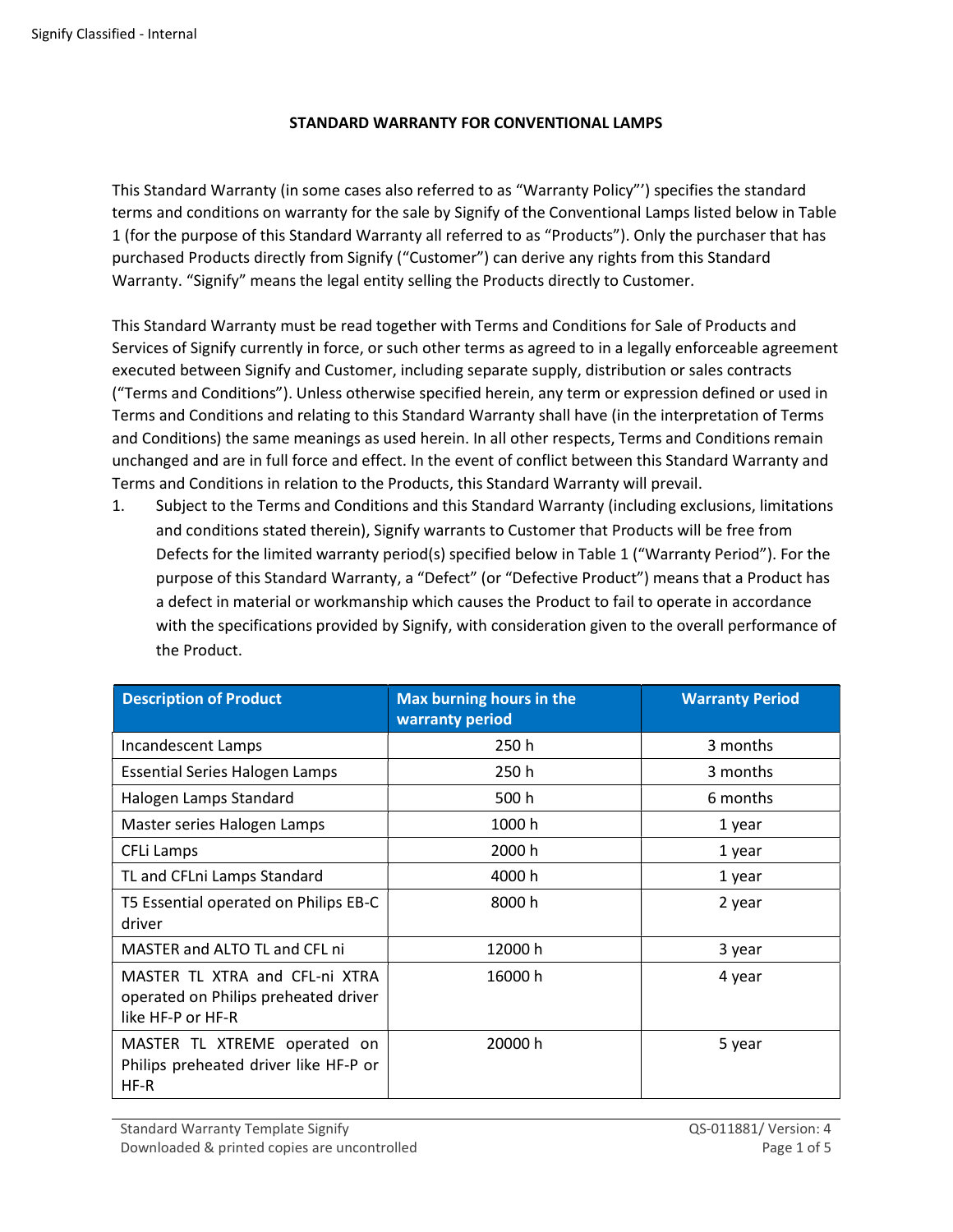## STANDARD WARRANTY FOR CONVENTIONAL LAMPS

This Standard Warranty (in some cases also referred to as "Warranty Policy"') specifies the standard terms and conditions on warranty for the sale by Signify of the Conventional Lamps listed below in Table 1 (for the purpose of this Standard Warranty all referred to as "Products"). Only the purchaser that has purchased Products directly from Signify ("Customer") can derive any rights from this Standard Warranty. "Signify" means the legal entity selling the Products directly to Customer.

This Standard Warranty must be read together with Terms and Conditions for Sale of Products and Services of Signify currently in force, or such other terms as agreed to in a legally enforceable agreement executed between Signify and Customer, including separate supply, distribution or sales contracts ("Terms and Conditions"). Unless otherwise specified herein, any term or expression defined or used in Terms and Conditions and relating to this Standard Warranty shall have (in the interpretation of Terms and Conditions) the same meanings as used herein. In all other respects, Terms and Conditions remain unchanged and are in full force and effect. In the event of conflict between this Standard Warranty and Terms and Conditions in relation to the Products, this Standard Warranty will prevail.

1. Subject to the Terms and Conditions and this Standard Warranty (including exclusions, limitations and conditions stated therein), Signify warrants to Customer that Products will be free from Defects for the limited warranty period(s) specified below in Table 1 ("Warranty Period"). For the purpose of this Standard Warranty, a "Defect" (or "Defective Product") means that a Product has a defect in material or workmanship which causes the Product to fail to operate in accordance with the specifications provided by Signify, with consideration given to the overall performance of the Product.

| <b>Description of Product</b>                                                               | Max burning hours in the<br>warranty period | <b>Warranty Period</b> |
|---------------------------------------------------------------------------------------------|---------------------------------------------|------------------------|
| Incandescent Lamps                                                                          | 250 h                                       | 3 months               |
| <b>Essential Series Halogen Lamps</b>                                                       | 250 h                                       | 3 months               |
| Halogen Lamps Standard                                                                      | 500 h                                       | 6 months               |
| Master series Halogen Lamps                                                                 | 1000h                                       | 1 year                 |
| CFLi Lamps                                                                                  | 2000 h                                      | 1 year                 |
| TL and CFLni Lamps Standard                                                                 | 4000 h                                      | 1 year                 |
| T5 Essential operated on Philips EB-C<br>driver                                             | 8000 h                                      | 2 year                 |
| MASTER and ALTO TL and CFL ni                                                               | 12000 h                                     | 3 year                 |
| MASTER TL XTRA and CFL-ni XTRA<br>operated on Philips preheated driver<br>like HF-P or HF-R | 16000 h                                     | 4 year                 |
| MASTER TL XTREME operated on<br>Philips preheated driver like HF-P or<br>$HF-R$             | 20000 h                                     | 5 year                 |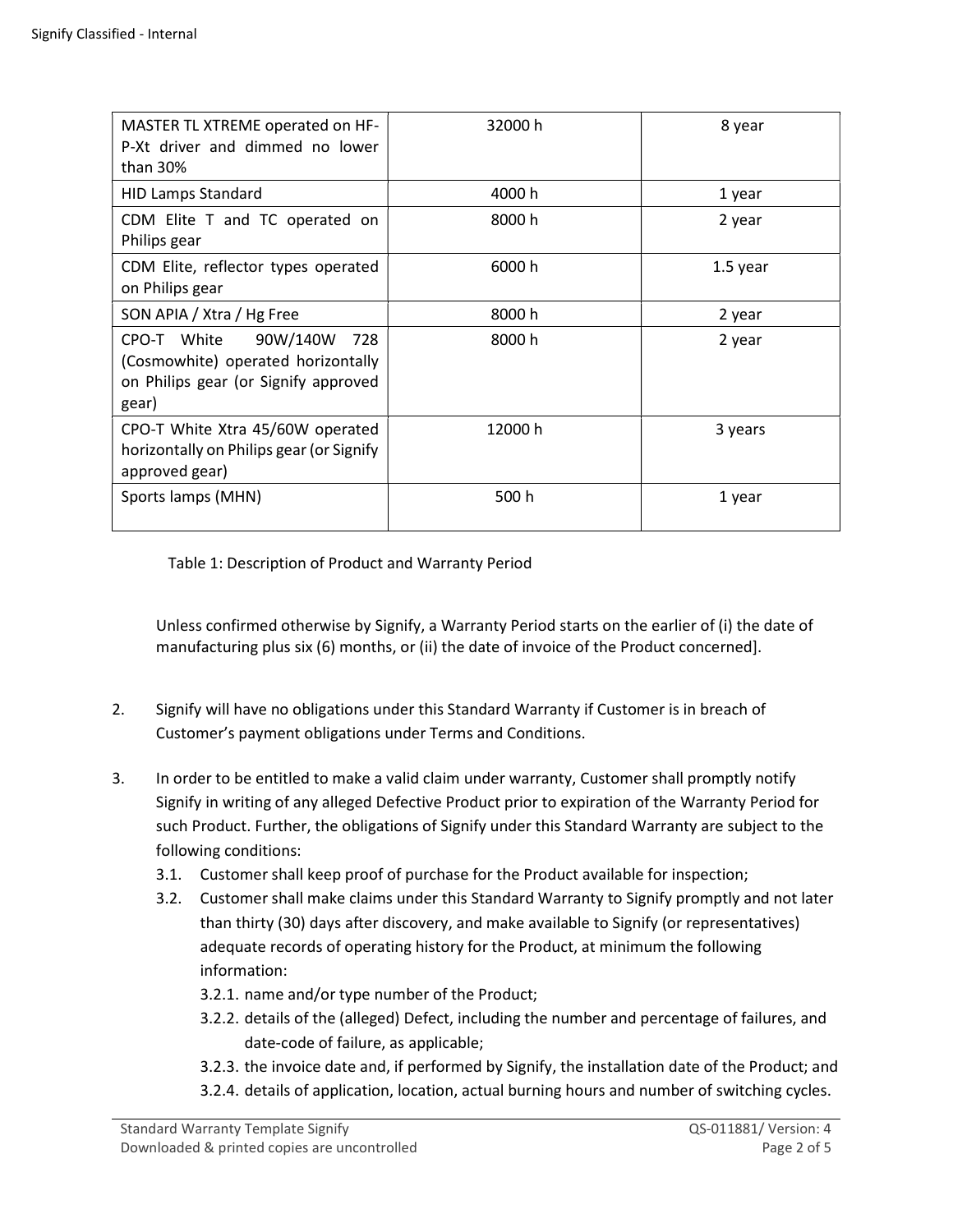| MASTER TL XTREME operated on HF-<br>P-Xt driver and dimmed no lower<br>than $30\%$                                    | 32000 h | 8 year   |
|-----------------------------------------------------------------------------------------------------------------------|---------|----------|
| <b>HID Lamps Standard</b>                                                                                             | 4000 h  | 1 year   |
| CDM Elite T and TC operated on<br>Philips gear                                                                        | 8000 h  | 2 year   |
| CDM Elite, reflector types operated<br>on Philips gear                                                                | 6000 h  | 1.5 year |
| SON APIA / Xtra / Hg Free                                                                                             | 8000h   | 2 year   |
| CPO-T White<br>90W/140W<br>728<br>(Cosmowhite) operated horizontally<br>on Philips gear (or Signify approved<br>gear) | 8000 h  | 2 year   |
| CPO-T White Xtra 45/60W operated<br>horizontally on Philips gear (or Signify<br>approved gear)                        | 12000 h | 3 years  |
| Sports lamps (MHN)                                                                                                    | 500 h   | 1 year   |

Table 1: Description of Product and Warranty Period

Unless confirmed otherwise by Signify, a Warranty Period starts on the earlier of (i) the date of manufacturing plus six (6) months, or (ii) the date of invoice of the Product concerned].

- 2. Signify will have no obligations under this Standard Warranty if Customer is in breach of Customer's payment obligations under Terms and Conditions.
- 3. In order to be entitled to make a valid claim under warranty, Customer shall promptly notify Signify in writing of any alleged Defective Product prior to expiration of the Warranty Period for such Product. Further, the obligations of Signify under this Standard Warranty are subject to the following conditions:
	- 3.1. Customer shall keep proof of purchase for the Product available for inspection;
	- 3.2. Customer shall make claims under this Standard Warranty to Signify promptly and not later than thirty (30) days after discovery, and make available to Signify (or representatives) adequate records of operating history for the Product, at minimum the following information:

3.2.1. name and/or type number of the Product;

- 3.2.2. details of the (alleged) Defect, including the number and percentage of failures, and date-code of failure, as applicable;
- 3.2.3. the invoice date and, if performed by Signify, the installation date of the Product; and
- 3.2.4. details of application, location, actual burning hours and number of switching cycles.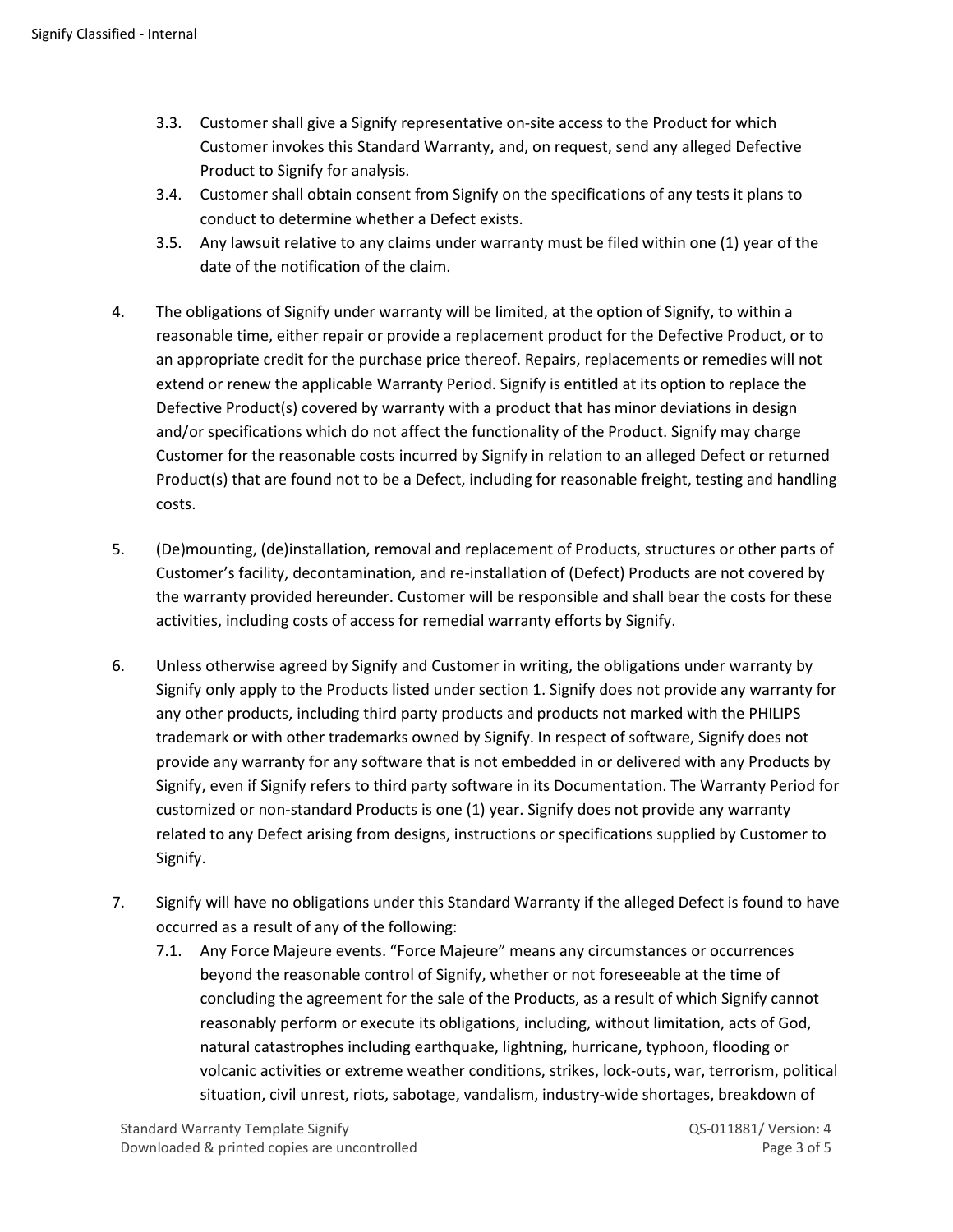- 3.3. Customer shall give a Signify representative on-site access to the Product for which Customer invokes this Standard Warranty, and, on request, send any alleged Defective Product to Signify for analysis.
- 3.4. Customer shall obtain consent from Signify on the specifications of any tests it plans to conduct to determine whether a Defect exists.
- 3.5. Any lawsuit relative to any claims under warranty must be filed within one (1) year of the date of the notification of the claim.
- 4. The obligations of Signify under warranty will be limited, at the option of Signify, to within a reasonable time, either repair or provide a replacement product for the Defective Product, or to an appropriate credit for the purchase price thereof. Repairs, replacements or remedies will not extend or renew the applicable Warranty Period. Signify is entitled at its option to replace the Defective Product(s) covered by warranty with a product that has minor deviations in design and/or specifications which do not affect the functionality of the Product. Signify may charge Customer for the reasonable costs incurred by Signify in relation to an alleged Defect or returned Product(s) that are found not to be a Defect, including for reasonable freight, testing and handling costs.
- 5. (De)mounting, (de)installation, removal and replacement of Products, structures or other parts of Customer's facility, decontamination, and re-installation of (Defect) Products are not covered by the warranty provided hereunder. Customer will be responsible and shall bear the costs for these activities, including costs of access for remedial warranty efforts by Signify.
- 6. Unless otherwise agreed by Signify and Customer in writing, the obligations under warranty by Signify only apply to the Products listed under section 1. Signify does not provide any warranty for any other products, including third party products and products not marked with the PHILIPS trademark or with other trademarks owned by Signify. In respect of software, Signify does not provide any warranty for any software that is not embedded in or delivered with any Products by Signify, even if Signify refers to third party software in its Documentation. The Warranty Period for customized or non-standard Products is one (1) year. Signify does not provide any warranty related to any Defect arising from designs, instructions or specifications supplied by Customer to Signify.
- 7. Signify will have no obligations under this Standard Warranty if the alleged Defect is found to have occurred as a result of any of the following:
	- 7.1. Any Force Majeure events. "Force Majeure" means any circumstances or occurrences beyond the reasonable control of Signify, whether or not foreseeable at the time of concluding the agreement for the sale of the Products, as a result of which Signify cannot reasonably perform or execute its obligations, including, without limitation, acts of God, natural catastrophes including earthquake, lightning, hurricane, typhoon, flooding or volcanic activities or extreme weather conditions, strikes, lock-outs, war, terrorism, political situation, civil unrest, riots, sabotage, vandalism, industry-wide shortages, breakdown of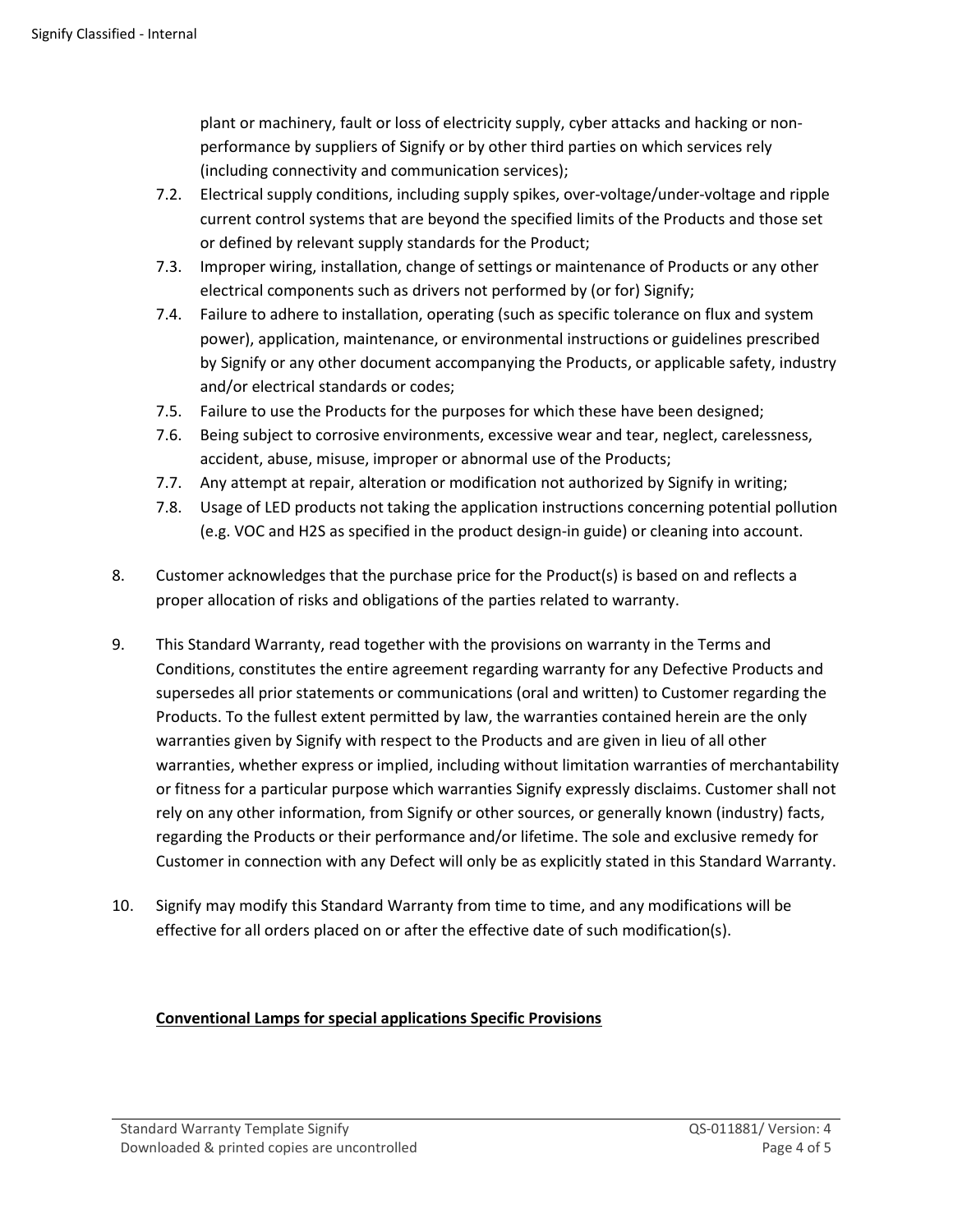plant or machinery, fault or loss of electricity supply, cyber attacks and hacking or nonperformance by suppliers of Signify or by other third parties on which services rely (including connectivity and communication services);

- 7.2. Electrical supply conditions, including supply spikes, over-voltage/under-voltage and ripple current control systems that are beyond the specified limits of the Products and those set or defined by relevant supply standards for the Product;
- 7.3. Improper wiring, installation, change of settings or maintenance of Products or any other electrical components such as drivers not performed by (or for) Signify;
- 7.4. Failure to adhere to installation, operating (such as specific tolerance on flux and system power), application, maintenance, or environmental instructions or guidelines prescribed by Signify or any other document accompanying the Products, or applicable safety, industry and/or electrical standards or codes;
- 7.5. Failure to use the Products for the purposes for which these have been designed;
- 7.6. Being subject to corrosive environments, excessive wear and tear, neglect, carelessness, accident, abuse, misuse, improper or abnormal use of the Products;
- 7.7. Any attempt at repair, alteration or modification not authorized by Signify in writing;
- 7.8. Usage of LED products not taking the application instructions concerning potential pollution (e.g. VOC and H2S as specified in the product design-in guide) or cleaning into account.
- 8. Customer acknowledges that the purchase price for the Product(s) is based on and reflects a proper allocation of risks and obligations of the parties related to warranty.
- 9. This Standard Warranty, read together with the provisions on warranty in the Terms and Conditions, constitutes the entire agreement regarding warranty for any Defective Products and supersedes all prior statements or communications (oral and written) to Customer regarding the Products. To the fullest extent permitted by law, the warranties contained herein are the only warranties given by Signify with respect to the Products and are given in lieu of all other warranties, whether express or implied, including without limitation warranties of merchantability or fitness for a particular purpose which warranties Signify expressly disclaims. Customer shall not rely on any other information, from Signify or other sources, or generally known (industry) facts, regarding the Products or their performance and/or lifetime. The sole and exclusive remedy for Customer in connection with any Defect will only be as explicitly stated in this Standard Warranty.
- 10. Signify may modify this Standard Warranty from time to time, and any modifications will be effective for all orders placed on or after the effective date of such modification(s).

## Conventional Lamps for special applications Specific Provisions